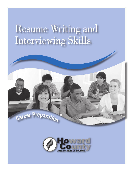## Resume Writing and Interviewing Skills



Career Preparation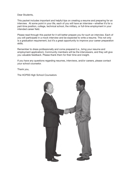Dear Students,

This packet includes important and helpful tips on creating a resume and preparing for an interview. At some point in your life, each of you will have an interview—whether it's for a part-time position, college, technical school, the military, or full-time employment in your intended career field.

Please read through this packet for it will better prepare you for such an interview. Each of you will participate in a mock interview and be expected to write a resume. This not only is a graduation requirement, but it's a great opportunity to improve your career preparation skills.

Remember to dress professionally and come prepared (i.e., bring your resume and employment application). Community members will be the interviewers, and they will give you valuable feedback. Please thank them for their time and insight.

If you have any questions regarding resumes, interviews, and/or careers, please contact your school counselor.

Thank you,

The HCPSS High School Counselors

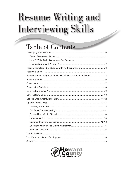# **Resume Writing and** Interviewing Skills

### **Table of Contents**

| Resume Template 2 (for students with little or no work experience) 5 |  |
|----------------------------------------------------------------------|--|
|                                                                      |  |
|                                                                      |  |
|                                                                      |  |
|                                                                      |  |
|                                                                      |  |
|                                                                      |  |
|                                                                      |  |
|                                                                      |  |
|                                                                      |  |
|                                                                      |  |
|                                                                      |  |
|                                                                      |  |
|                                                                      |  |
|                                                                      |  |
|                                                                      |  |
|                                                                      |  |
|                                                                      |  |

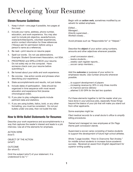### Developing Your Resume

#### Eleven Resume Guidelines

- 1. Keep it short—one page if possible, two pages at the most.
- 2. Include your name, address, phone number, education, and work experience. You may also want to include job objective, awards/honors, clubs/activities/sports, volunteer experiences, and/or contact information for three references (\*Always ask for permission before using a person's name as a reference).
- 3. Be neat—print resume on resume paper.
- 4. Spell out words. Do not use abbreviations. Example: Student Government Association, not SGA.
- 5. PROOFREAD and SPELLCHECK your resume. Do not solely rely on the computer. Have someone check over your resume before submitting it.
- 6. Be honest about your skills and work experience.
- 7. Be concise. Use action words and phrases when describing your experience.
- 8. State accomplishments and results, not just duties.
- 9. Include dates of participation. Data should be organized in time sequence with most recent education and experience first (reverse chronological order).
- 10. If you plan to play collegiate sports include pertinent data and statistics.
- 11. If you are using bullets, italics, bold, or any other formatting, you must be consistent. Do not put bullets under one area, then not bullet the rest.

#### How to Write Bullet Statements for Resumes

Describe your work experience and accomplishments in a way that captures the reader's interest and leads to a job interview. Use all of the elements for emphasis.

ACTION VERB (how?)

OBJECT OF THE ACTION (what?)

OUTCOME (for whom?)

Omit the subject (who?) of your statement. It is understood to be "I."

Begin with an **action verb**, sometimes modified by an adverb for added emphasis.

*Edited… Managed… Directly supervised… Worked closely…*

Avoid phrases such as "Responsible for" or "Helped."

Describe the object of your action using numbers, amounts and other adjectives whenever possible.

- *…small concession stand…*
- *…twelve students…*
- *…weekly cash register reports…*
- *…soccer camp members…*

Add the **outcome** or purpose of your action to emphasize results. Use number amounts whenever possible.

- *…to support development of players*
- *…increasing revenue by 30% in only three months*
- *…to improve service delivery*
- *…attained 3.50 GPA for the last two quarters*

Put these elements together to tell the reader what you have done in your previous jobs, especially those things beyond the basics of your job that will make you stand out from other applicants.

Some examples might be:

*Filed medical records for a small doctor's office to simplify billing procedures.*

*Trained and managed six new employees at Six Flags theme park concession stands.*

*Supervised a soccer camp consisting of twelve students to support the development of future high school athletes.* 

*Wrote 7-page booklet, "How to Overcome Test Anxiety," for middle school students to increase future academic success. Received an award from English department for superior writing quality.*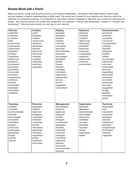#### Resume Words with a Punch!

Below are action words that provide punch to your resume statements. Grouped in skill areas below, these words provide readers a clearer understanding of skills used. The words you choose for your resume can help you catch the attention of a potential employer. It is important to use action words to highlight or describe your current (or previous) job duties. Your resume should not contain any sentences. For example: "Trained new employees" instead of "I trained new employees." Here are some words you can use in your resume:

| <b>Clerical</b>          | <b>Creative</b>        | <b>Helping</b>      | <b>Research</b>          | Communication       |
|--------------------------|------------------------|---------------------|--------------------------|---------------------|
| classified               | acted                  | arranged            | analyzed                 | answered            |
| collected                | arranged               | assessed            | compiled                 | authored            |
| compiled                 | created                | assisted            | critiqued                | contacted           |
| filed                    | customized             | clarified           | determined               | convinced           |
| inventoried              | designed               | coached             | developed                | corresponded        |
| maintained               | developed              | counseled           | evaluated                | critiqued           |
| memorized                | directed               | delivered           | examined                 | directed            |
| operated                 | enhanced               | demonstrated        | inspected                | displayed           |
| ordered                  | fashioned              | educated            | investigated             | drafted             |
| organized                | invented               | encouraged          | organized                | edited              |
| performed                | modified               | facilitated         | researched               | encouraged          |
| prepared                 | originated             | guided              | reviewed                 | influenced          |
| processed                | sketched               | hosted              | summarized               | informed            |
| proofread                | upgraded               | initiated           |                          | interpreted         |
| quantified               |                        | mediated            |                          | lectured            |
| reconciled               |                        | motivated           |                          | negotiated          |
| recorded                 |                        | negotiated          |                          | persuaded           |
|                          |                        | represented         |                          |                     |
| reorganized<br>retrieved |                        |                     |                          | presented           |
|                          |                        | served<br>solved    |                          | promoted            |
| revised                  |                        |                     |                          | publicized          |
| scheduled                |                        | suggested           |                          | recruited           |
| tabulated                |                        | volunteered         |                          | suggested           |
| translated               |                        |                     |                          | taught              |
| validated                |                        |                     |                          | testified           |
|                          |                        |                     |                          | translated          |
|                          |                        |                     |                          | wrote               |
| <b>Teaching</b>          | <b>Financial</b>       | <b>Management</b>   | <b>Supervision</b>       | <b>Technical</b>    |
| clarified                | appraised              | administered        | assessed                 | assembled           |
| coached                  | audited                |                     | delegated                | built               |
| communicated             | balanced               | analyzed            | demonstrated             | calculated          |
| devised                  |                        | approved            |                          |                     |
|                          | budgeted<br>calculated | assigned<br>chaired | encouraged<br>influenced | computed            |
| encouraged<br>evaluated  |                        |                     | mediated                 | designed<br>devised |
|                          | collected              | changed             |                          |                     |
| facilitated              | computed               | coordinated         | oversaw                  | maintained          |
| guided                   | earned                 | delegated           | remedied                 | operated            |
| instructed               | forecasted             | directed            | reported                 | programmed          |
| persuaded                | generated              | evaluated           | solved                   | remodeled           |
| presented                | marketed               | improved            | supervised               | repaired            |
| taught                   | negotiated             | managed             | tested                   | upgraded            |
| tutored                  | priced                 | monitored           |                          |                     |
| trained                  | projected              | organized           |                          |                     |
|                          | reconciled             | planned             |                          |                     |
|                          |                        | produced            |                          |                     |
|                          |                        | recommended         |                          |                     |
|                          |                        | resolved            |                          |                     |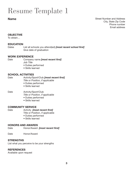### Resume Template 1

#### Name

Street Number and Address City, State Zip Code Phone number Email address

#### **OBJECTIVE**

To obtain…

#### **EDUCATION**

Dates List all schools you attend(ed) *[most recent school first]* Give date of graduation

#### WORK EXPERIENCE

- Date Company name *[most recent first] Job Title*
	- Duties performed
	- Skills learned

#### SCHOOL ACTIVITIES

Date Activity/Sport/Club *[most recent first] Title or Position, if applicable*

- Duties performed
- Skills learned

#### Date **Activity/Sport/Club**

*Title or Position, if applicable*

- Duties performed
- Skills learned

#### COMMUNITY SERVICE

Date Activity *[most recent first]*

Title or Position, if applicable

- Duties performed
- Skills learned

#### HONORS AND AWARDS

- Date Honor/Award *[most recent first]*
- Date Honor/Award

#### **STRENGTHS**

List what you perceive to be your strengths

#### **REFERENCES**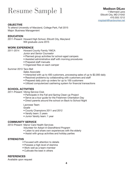### Resume Sample 1

#### **OBJECTIVE**

To attend University of Maryland, College Park, Fall 2015 Major: Business Management

#### EDUCATION

2011-Present Howard High School, Ellicott City, Maryland Will graduate June 2015

#### WORK EXPERIENCE

2011-2014 Howard County Family YMCA

- *Junior and Senior Counselor*
- Planned group activities for school-aged campers
- Assisted administrative staff with morning procedures
- Prepared staff manuals
- Organized files on each camper

#### Summer 2013 Taco Bell

 *Sales Associate*

- Interacted with up to 400 customers, processing sales of up to \$2,000 daily
- Resolved problems by collaborating with customers and staff
- Prepared daily pick-up orders for up to 100 customers
- Utilized computerized cashiering system for financial transactions

#### SCHOOL ACTIVITIES

2011-Present Viking Service Club

- Participate in the Fall and Spring Clean-up Project
- Serve as a tour guide for the Freshmen Orientation Day
- Direct parents around the school on Back to School Night

Lacrosse Team

*Goalie*

- County Champions 2011 and 2012
- Varsity team: 2 years
- Junior Varsity team: 1 year

#### COMMUNITY SERVICE

2012-Present Manor Care Health Services

- *Volunteer for Adopt-A-Grandfriend Program*
- Listen to and share own experiences with the elderly
- Assist with group activities and holiday parties

#### **STRENGTHS**

- Focused with attention to details
- Possess a high level of stamina
- Work well as a team-member
- Cultivate the best in others

#### **REFERENCES**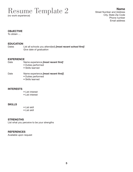### Resume Template 2

(no work experience)

Name Street Number and Address City, State Zip Code Phone number Email address

#### **OBJECTIVE**

To obtain …

#### EDUCATION

Dates List all schools you attend(ed) *[most recent school first]* Give date of graduation

#### **EXPERIENCE**

- 
- Date Name experience *[most recent first]*
	- Duties performed
	- Skills learned

#### Date Name experience *[most recent first]*]

- Duties performed
- Skills learned

#### **INTERESTS**

- List interest
- List interest

#### SKILLS

- List skill
- List skill

#### **STRENGTHS**

List what you perceive to be your strengths

#### **REFERENCES**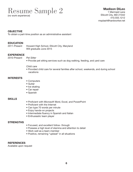### Resume Sample 2

(no work experience)

### Madison DiLeo

1 Mermaid Lane Ellicott City, MD 21042 410.555.1212 msplash@hardworker.net

#### **OBJECTIVE**

To obtain a part-time position as an administrative assistant

#### **EDUCATION**

2011-Present Howard High School, Ellicott City, Maryland Will graduate June 2015

#### **EXPERIENCE**

2010-Present *Pet Sitter*

• Provide pet sitting services such as dog walking, feeding, and yard care

#### *Child care*

• Provided child care for several families after school, weekends, and during school vacations

#### **INTERESTS**

- Computers
- Guitar
- Ice skating
- Car repair
- Spanish

#### SKILLS

- Proficient with Microsoft Word, Excel, and PowerPoint
- Proficient with the Internet
- Can type 70 words per minute
- Enjoy hands-on projects
- Intermediate fluency in Spanish and Italian
- Enthusiastic team player

#### **STRENGTHS**

- Focused, and excellent follow- through
- Possess a high level of stamina and attention to detail
- Work well as a team-member
- Positive, remaining "upbeat" in all situations

#### **REFERENCES**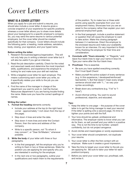### Cover Letters

#### WHAT IS A COVER I FTTER?

When you apply for a job and submit a resume, you should also include a cover letter. A resume gives a concise snapshot of your experience for specific positions whereas a cover letter allows you to share more details about your background to a specific employer's company. So, you may send the same resume to various potential employers, but the cover letter should be created specifically for that company. Cover letters should include the following parts: a heading, inside address, salutation, body, closing, your signature, and your typed name.

#### Before writing the letter:

- 1. Research the business/agency/organization. This will not only help you in writing a relevant cover letter but it will also be useful if you get an interview.
- 2. Read the job description carefully. Check for the noted and assumed needs and determine the most important skills, qualifications, and experience the employer is looking for and make sure your skill set matches.
- 3. Write a targeted cover letter for each employer. This means customizing each cover letter you write, so it specifically relates your skills to the job you are applying for.
- 4. Find the name of the manager in charge of the department you want to work in. Call the Human Resources department if you are having trouble finding the name. Make sure you have the correct spellings of names.

#### Writing the Letter:

- 1. Format the heading elements correctly.
	- Include your address at the top (in the right hand corner - approximately 1 inch down from the top of the page).
	- Skip down 4 lines and enter the date.
	- Skip down 4 more lines and enter the Contact Person, then the name and address of the company.
	- Write to a specific person, not "To whom it may concern", or "Dear Sir/Madam," whenever possible.
- 2. Write the body of your letter with three or four paragraphs.
	- In the first paragraph, tell the employer why you're writing to them in two or three sentences. State the position you are applying for and specify why you are interested in working for the employer.
	- In the next one or two paragraphs, outline your qualifications and match them to the requirements

of the position. Try to make two or three solid points using specific examples from your own employment history. Showcase how you are an asset to the company rather than explain your own personal employment goals.

- In the final paragraph, include a positive statement or question that will cause the employer to want to take action. Make this closing paragraph between 2-4 sentences. Direct the employer to the enclosed resume and make your availability known for an interview. It's very important to finish off by thanking the employer for their time and consideration.
- 3. Conclude with "Yours sincerely," or "Regards," and leave four blank lines to sign your name in blue ink. Type your name after the four blank lines.
- 4. Proofread. This is essential.
	- Be sure you have spelled everything correctly. Don't trust Spell Check!
	- Make yourself the active subject of every sentence (e.g. In this experience, I developed/reinforced/ learned/etc."). But that doesn't mean every single sentence should start with "I..." so vary your syntax accordingly.
	- Break down any contractions (e.g. "I've" to "I have").
	- Avoid informal writing. You want to sound professional, objective, and educated.

#### Tips:

- 1. Keep the letter to one page -- the purpose of the cover letter is to get the hiring manager to read your resume! If the letter is spilling onto a second page, it's time to tighten your points and edit the fluff.
- 2. Your tone should be upbeat, professional and informative. The employer wants to know what you can do for them, so sell yourself and your skills in a positive way. This is not the time to be humble—present confidently, but do not project arrogance.
- 3. Avoid clichés and meaningless or wordy expressions.
- 4. Your cover letter should complement, not duplicate your resume.
- 5. Your cover letter is often the first contact with an employer. Make sure it creates a good impression.
- 6. Take the time to target your cover letter to the job you are applying for. Be sure to tailor your letter for each position/company.
- 7. Before you send your cover letter out, proofread, edit, and revise it.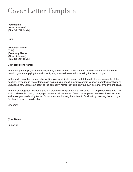### Cover Letter Template

[Your Name] [Street Address] [City, ST ZIP Code]

Date

[Recipient Name] [Title] [Company Name] [Street Address] [City, ST ZIP Code]

Dear [Recipient Name]:

In the first paragraph, tell the employer why you're writing to them in two or three sentences. State the position you are applying for and specify why you are interested in working for the employer.

In the next one or two paragraphs, outline your qualifications and match them to the requirements of the position. Try to make two or three solid points using specific examples from your own employment history. Showcase how you are an asset to the company, rather than explain your own personal employment goals.

In the final paragraph, include a positive statement or question that will cause the employer to want to take action. Make this closing paragraph between 2-4 sentences. Direct the employer to the enclosed resume and make your availability known for an interview. It's very important to finish off by thanking the employer for their time and consideration.

Sincerely,

[Your Name]

**Enclosure**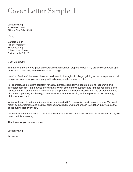### Cover Letter Sample 1

Joseph Viking 12 Hebron Drive Ellicott City, MD 21042

[Date]

Barbara Smith Project Manager TK Consulting 5 Beethoven Street Baltimore, MD 21231

Dear Ms. Smith:

Your ad for an entry-level position caught my attention as I prepare to begin my professional career upon graduation this spring from Elizabethtown College.

I say "professional" because I have worked steadily throughout college, gaining valuable experience that equips me to present your company with advantages others may not offer.

For example, as a resident assistant for a 250-person coed dorm, I acquired strong leadership and interpersonal skills. I am now able to think quickly in emergency situations and in those requiring quick assessment of many factors in order to make appropriate decisions. Dealing with the diverse concerns of students, parents, and faculty, I have become adept at operating with the proper mix of authority, diplomacy, and tact.

While working in this demanding position, I achieved a 3.75 cumulative grade-point average. My double major, communications and political science, provided me with a thorough foundation in principles that affect businesses every day.

I would welcome the chance to discuss openings at your firm. If you will contact me at 410.555.1212, we can schedule a meeting.

Thank you for your consideration.

Joseph Viking

**Enclosure**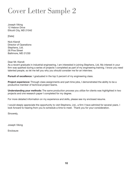### Cover Letter Sample 2

Joseph Viking 12 Hebron Drive Ellicott City, MD 21042

[Date]

Nick Kiendl Director of Operations Stephens, Ltd. 26 Pine Street Baltimore, MD 21230

Dear Mr. Kiendl:

As a recent graduate in industrial engineering, I am interested in joining Stephens, Ltd. My interest in your firm was sparked during a series of projects I completed as part of my engineering training. I know you need talented people, so let me tell you why you should consider me for an interview.

Pursuit of excellence: I graduated in the top 5 percent of my engineering class.

**Project experience:** Through class assignments and part-time jobs, I demonstrated the ability to be a productive member of technical project teams.

Understanding your methods: The same production process you utilize for clients was highlighted in two projects and one research paper I completed for my degree.

For more detailed information on my experience and skills, please see my enclosed resume.

I would deeply appreciate the opportunity to visit Stephens, Ltd., a firm I have admired for several years. I look forward to hearing from you to schedule a time to meet. Thank you for your consideration.

Sincerely,

Joseph Viking

**Enclosure**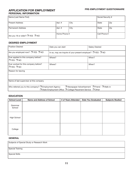#### APPLICATION FOR EMPLOYMENT PERSONAL INFORMATION

| Name (Last Name First)          |              |      | Social Security # |     |
|---------------------------------|--------------|------|-------------------|-----|
| <b>Present Address</b>          | Apt. #       | City | State             | Zip |
| Permanent Address               | Apt. #       | City | State             | Zip |
| Are you 18 or older? □ YES □ NO | Home Phone # |      | Cell Phone #      |     |

#### DESIRED EMPLOYMENT

| <b>Position Desired</b>                                                                                                                                                                                   | Date you can start                                                   | <b>Salary Desired</b> |  |  |
|-----------------------------------------------------------------------------------------------------------------------------------------------------------------------------------------------------------|----------------------------------------------------------------------|-----------------------|--|--|
| Are you employed now? □ YES □ NO                                                                                                                                                                          | In so, may we inquire of your present employer? $\Box$ YES $\Box$ NO |                       |  |  |
| Ever applied to this company before?<br>$\Box$ YES $\Box$ NO                                                                                                                                              | Where?                                                               | When?                 |  |  |
| Ever worked for this company before?<br>$\Box$ YES $\Box$ NO                                                                                                                                              | Where?                                                               | When?                 |  |  |
| Reason for leaving                                                                                                                                                                                        |                                                                      |                       |  |  |
|                                                                                                                                                                                                           |                                                                      |                       |  |  |
| Name of last supervisor at this company                                                                                                                                                                   |                                                                      |                       |  |  |
| Who referred you to this company? $\Box$ Employment Agency<br>$\Box$ Newspaper Advertisement $\Box$ Friend $\Box$ Walk-in<br>$\Box$ State Employment Office $\Box$ College Placement Service $\Box$ Other |                                                                      |                       |  |  |

#### EDUCATION

| <b>School Level</b> | <b>Name and Address of School</b> | # of Years Attended | <b>Date You Graduated</b> | <b>Subjects Studied</b> |
|---------------------|-----------------------------------|---------------------|---------------------------|-------------------------|
| Grammar<br>School   |                                   |                     |                           |                         |
| High School         |                                   |                     |                           |                         |
| College             |                                   |                     |                           |                         |

#### GENERAL

| Subjects of Special Study or Research Work |  |
|--------------------------------------------|--|
| Special Training                           |  |
| Special Skills                             |  |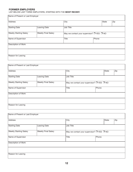#### FORMER EMPLOYERS

LIST BELOW LAST THREE EMPLOYERS, STARTING WITH THE MOST RECENT.

| Name of Present or Last Employer |                            |                |                                                      |       |     |
|----------------------------------|----------------------------|----------------|------------------------------------------------------|-------|-----|
| Address                          |                            | City           |                                                      | State | Zip |
| <b>Starting Date</b>             | Leaving Date               | Job Title      |                                                      |       |     |
| <b>Weekly Starting Salary</b>    | <b>Weekly Final Salary</b> |                | May we contact your supervisor? $\Box$ YES $\Box$ NO |       |     |
| Name of Supervisor               |                            | Title<br>Phone |                                                      |       |     |
| <b>Description of Work</b>       |                            |                |                                                      |       |     |
|                                  |                            |                |                                                      |       |     |
| Reason for Leaving               |                            |                |                                                      |       |     |

| Name of Present or Last Employer            |                            |                                           |  |  |  |
|---------------------------------------------|----------------------------|-------------------------------------------|--|--|--|
| Address                                     |                            | Zip<br>City<br>State                      |  |  |  |
| <b>Starting Date</b><br><b>Leaving Date</b> |                            | Job Title                                 |  |  |  |
| <b>Weekly Starting Salary</b>               | <b>Weekly Final Salary</b> | May we contact your supervisor? THES T NO |  |  |  |
| Name of Supervisor                          |                            | Title<br>Phone                            |  |  |  |
| Description of Work                         |                            |                                           |  |  |  |
|                                             |                            |                                           |  |  |  |
| Reason for Leaving                          |                            |                                           |  |  |  |

| Name of Present or Last Employer     |                            |                                            |  |       |     |
|--------------------------------------|----------------------------|--------------------------------------------|--|-------|-----|
| Address                              |                            | City                                       |  | State | Zip |
| Leaving Date<br><b>Starting Date</b> |                            | Job Title                                  |  |       |     |
| <b>Weekly Starting Salary</b>        | <b>Weekly Final Salary</b> | May we contact your supervisor? □ YES □ NO |  |       |     |
| Name of Supervisor                   |                            | <b>Title</b><br>Phone                      |  |       |     |
| Description of Work                  |                            |                                            |  |       |     |
|                                      |                            |                                            |  |       |     |
| Reason for Leaving                   |                            |                                            |  |       |     |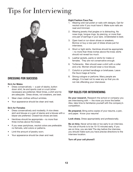### Tips for Interviewing



#### DRESSING FOR SUCCESS

#### Do's for Males

- Dress conservatively  $-$  a pair of slacks, button down shirt, tie and sports coat or a suit (when necessary) are preferred. Most times, a shirt and tie are adequate. Dress shoes, not sneakers, are best.
- Wear clean clothes without wrinkles.
- Your appearance should be clean and neat.

#### Do's for Females

- Dress conservatively and modestly. A nice dress skirt and blouse or a pair of slacks and a blouse with a blazer are preferred. Closed-toe shoes are best.
- Hemlines should be appropriate no more than three inches above the knees.
- If you wear pantyhose, neutral colors are preferable: no fishnets, wild colors or patterns.
- Limit the amount of jewelry worn.
- Your appearance should be clean and neat.

#### Eight Fashion Faux Pas

- 1. Wearing wild nail polish or nails with designs. Opt for neutral color if you must have it. Make sure nails are neat and trimmed.
- 2. Wearing jewelry that jangles or is distracting. No nose rings, tongue rings, lip piercing, or more than one pair of earrings in your ears. Understated is best.
- 3. Open toed or run-down shoes or sneakers. Borrow or buy a new pair of dress shoes just for interviews.
- 4. Short or tight skirts. Hemlines should be appropriate – no more than three inches above the knee; skirts should not reveal too much.
- 5. Leather jackets, pants or skirts for males or females. They are not conservative enough.
- 6. Turtlenecks. Men should wear a shirt with a collar and a tie. Women should wear a nice blouse.
- 7. Colorful or printed handbags or briefcases. Leave the Gucci bags at home.
- 8. Strong cologne or perfume. Many people are allergic. It is best not to wear any so that you do not risk offending your interviewer.

#### TOP RULES FOR INTERVIEWING

Do your research. Research the school or company you are interviewing with  $-$  the more you know the better. Also, take time to familiarize yourself with the company's competition.

Be prepared. Bring extra copies of your resume, a pen, and paper. Know your resume!

Look sharp. Dress appropriately and professionally.

Be on time. Never arrive late or too early to an interview. The rule of thumb is to be 10-15 minutes early. If you are on time, you are late! The day before the interview, you should make sure you have precise directions to the interview location.

Turn off your cell phone!!!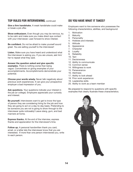#### TOP RULES FOR INTERVIEWING, continued

Give a firm handshake. A weak handshake could make or break a job offer.

Show enthusiasm. Even though you may be nervous, try to be calm and make sure you make direct eye contact with your interviewer. Lean forward to show interest.

Be confident. Do not be afraid to make yourself sound great. You are selling yourself to the interviewer!

Listen. Make sure you have heard and understood what the interviewer is asking you. If you are unsure, ask him/ her to repeat what they said.

Answer the question asked and give specific examples. There is nothing worse than being vague. Concentrate on giving examples of your accomplishments. Accomplishments demonstrate your potential.

Choose your words wisely. Never talk negatively about previous work experiences. It can give your prospective employer a bad impression of you.

Ask questions. Your questions indicate your interest in the job (or college). Employers appreciate your curiosity and interest.

Be yourself. Interviewers want to get to know the type of person they are considering hiring for the job and how they are going to act on a day-to-day basis. Pretending to be someone you are not is going to show through to the interviewer quite noticeably! Leave slang, gum, and bad manners at home.

Express thanks. At the end of the interview, express thanks and appreciation for the interviewer's time.

Follow up. A personal handwritten thank you card, email, or a letter lets the interviewer know that you are interested. If more than one person interviewed you, write to each person.

#### DO YOU HAVE WHAT IT TAKES?

Employers want to hire someone who possesses the following characteristics, abilities, and background:

- 1. Motivation
- 2. Maturity
- 3. Personality
- 4. Hobbies and interests
- 5. Attitude
- 6. Appearance
- 7. Character
- 8. Loyalty
- 9. Reliability
- 10. Tact
- 11. Decisiveness
- 12. Ability to communicate
- 13. Common sense
- 14. Willingness to work
- 15. Perseverance
- 16. Alertness
- 17. Ability to look ahead
- 18. Prior work experience
- 19. Leadership skills
- 20. Ability to work as a team member

Be prepared to respond to questions with specific examples that clearly illustrate these characteristics.

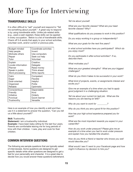## More Tips for Interviewing

#### TRANSFERABLE SKILLS

It is often difficult to "sell" yourself and respond to "Tell me something about yourself." A great way to respond is by using transferable skills. Unlike job-related skills (e.g., used a cash register), these skills can be applied in every occupation. Below is a list of transferable skills. Check off 5-8 words that apply to your school activities, volunteer work, and/or current or previous jobs.

| Budget-minded      | Coordinate activities |
|--------------------|-----------------------|
| Help people        | Invent                |
| Motivate others    | Use computers         |
| Repair             | Seek out help         |
| Tutor              | Volunteer             |
| Explain            | Creative              |
| Locate information | Delegate              |
| Planner            | Raise money           |
| Speak in public    | Think ahead           |
| Word processing    | Write reports         |
| Calm               | Competent             |
| Eager              | Flexible              |
| Goal-oriented      | Helpful               |
| Organized          | Polite                |
| Reliable           | Optimistic            |
| Conscientious      | Dependable            |
| Friendly           | Kind                  |
| Initiative         | Orderly               |
| Punctual           | Quick-learner         |
| Trustworthy        | Versatile             |

Here is an example of how you identify a skill and then use it in a statement to answer the question, "Can you tell us a little about yourself?"

#### Skill: Trustworthy

Statement: I am a trustworthy individual.

**Example:** I have been baby-sitting for the last four years. Parents are comfortable leaving me for long periods of time with their children. I care, play and cook for their children.

#### COMMON INTERVIEW QUESTIONS

The following are sample questions that are typically asked of interviewees. Some questions are designed to get specific details while other questions are designed to get a feel for your personality and character. It is a great idea to decide how you would answer these questions beforehand. *Tell me about yourself.*

*What are your favorite classes? What are your least favorite classes? Why?*

*What qualifications do you possess to work in this position?*

*Do you enjoy working in a group or independently?*

*What are your goals for the next five years?*

*In what school activities have you participated? Which do you enjoy most?*

*Do you participate in after-school activities? If so, describe them.*

*What motivates you?*

*What are your greatest strengths? What are your biggest challenges?*

*What do you think it takes to be successful in your work?*

*What kind of projects, events, or assignments interest and excite you?*

*Give me an example of a time when you had to apply good judgment in a challenging situation.*

*Tell me about your current (or last) job. What are the reasons you are leaving (or left)?*

*Why do you want to work for \_\_\_\_\_\_\_\_\_?*

*Why do you think you are a good fit for this position?*

*How has your high school experience prepared you for work?*

*What are the most important rewards you expect in your career/life?* 

*How do you work under pressure? Please give me an example of a time when you had to work under pressure and explain how you handled the situation.*

*How do you think a friend or teacher who knows you well would describe you?*

*What would I see if I went to your Facebook page and how might it influence my decision to hire you?*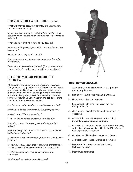#### COMMON INTERVIEW QUESTIONS, continued

*What two or three accomplishments have given you the most satisfactions? Why?*

*If you were interviewing a candidate for a position, what qualities do you believe he or she must have in order to be selected?*

*When you have free time, how do you spend it?*

*What is one thing about yourself that you would most like to change?*

*What are your salary requirements?*

*Give me an example of something you had to learn that was difficult.*

*Do you have any questions for me?* (\*Your answer should always be "yes" and followed up with your questions!)

#### QUESTIONS YOU CAN ASK DURING THE INTERVIEW

At the end of a job interview, the interviewer may ask, "Do you have any questions?" The interviewer will expect you to have intelligent, well-thought-out questions that indicate you have some knowledge of the job for which you are applying. Also, it reveals how well you listened to the interviewer. Do your research and ask appropriate questions. Here are some examples.

*Would you describe the duties I would be performing?*

*What would be the time frame for filling this position?*

*If hired, who will be my supervisor?*

*How would I be trained or introduced to the job?*

*With whom would I be working with and what are their duties?*

*How would my performance be evaluated? Who would evaluate me and when?*

*Can someone in this position be promoted? If so, to what position?*

*Of your most successful employees, what characteristics do they possess that helped them to be successful?*

*What is the customer service philosophy of your company?*



#### INTERVIEWER CHECKLIST

- 1. Appearance overall grooming, dress, posture, and appropriateness
- 2. Sociability overall warmth and friendliness
- 3. Handshake firm and confident
- 4. Eye contact ability to look directly at you during interview
- 5. Composure overall confidence in responding to questions
- 6. Conversation ability to speak clearly, using proper language, grammar, and tone
- 7. Responses the questions were answered honestly, seriously, and completely, ability to "sell" him/herself with appropriate responses
- 8. Courtesy ability to show respect and interest
- 9. Job application neatly written and complete
- 10. Resume clear, concise, positive, typed, technically correct
- 11. Interviewer comments:

*What is the best part about working here?*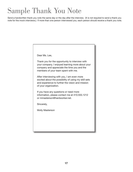### Sample Thank You Note

Send a handwritten thank you note the same day or the day after the interview. (It is not required to send a thank you note for the mock interviews.) If more than one person interviewed you, each person should receive a thank you note.

Dear Ms. Lee,

Thank you for the opportunity to interview with your company. I enjoyed learning more about your company and appreciate the time you and the members of your team spent with me.

After interviewing with you, I am even more excited about the possibility of using my skill sets and experience to further the vision and mission of your organization.

If you have any questions or need more information, please contact me at 410.555.1212 or mmasterson@hardworker.net.

Sincerely,

Molly Masterson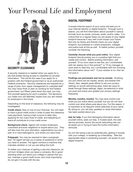### Your Personal Life and Employment



#### SECURITY CLEARANCE

A security clearance is needed when you apply for a job that entails having access to classified (or private) information. This will be the case if you apply for a position with the Federal government or as an authorized Federal contractor. Security clearances are required for a range of jobs, from upper management to custodial staff. You may never think or plan on working for the Federal government, but fifteen years down the road, you may find yourself applying for such a position. The decisions you make now will definitely impact how you are viewed by employers in the future.

Depending on the level of clearance, the following may be investigated:

Credit check. Stay on top of your finances. You will need to have a good credit score in order to pass the clearance. Late payments, having a high income to debt ratio, applying for too many lines of credit, and defaulting on loans all contribute to a low credit score.

Background check. Agents will contact employers, coworkers and even neighbors to inquire about you. They will also look into your education, organizations you are a part of or have belonged to, and where you have lived.

Polygraph. You may be required to take a polygraph test. An agent will ask you a series of questions in which you have to answer. The agent monitors a machine that indicates whether or not you are telling the truth.

To better your chances of getting a security clearance, do not burn bridges when you leave a company. Be in good standing when you leave your college or places that you live, maintain a good credit score, and most importantly do not get in trouble with the law.

#### Digital Footprint

A simple Internet search of your name will lead you to your internet identity or digital footprint. Through such a search, you will find information about yourself in various formats such as words, pictures, audio, and/or video. It is critical that on a regular basis you are aware of your digital footprint because it very well could impact your future. Not only do family and friends check out your digital footprint, but potential or current employers, colleges, and police look at this as well. To better protect yourself, consider the following:

Carefully choose what you post online. Your digital footprint should portray you in a positive light that you create and control. Before posting information, ask yourself, "If my mom were to see this, am I comfortable with her seeing me in this picture?" or "If my manager at work were to read this, am I comfortable with him knowing this information about me?" If your answer is no, then do not post it.

Postings are permanent and not so private. Anything you put online can be copied, saved, and shared with others. Also, despite great efforts to set your privacy settings on social networking sites, there are ways to break through these settings. Again, be selective in what you post and check and update your privacy settings frequently.

Monitor, monitor, monitor. You may have control over what you put online about yourself, but you do not have control over what others post about you. For this reason, it is important to do frequent online searches of your name. By doing so, you will stay updated on what information has been posted about you.

Ask for help. If you find damaging information about yourself online, seek out help. A trusted adult, the web service provider, and/or the social networking site can all assist you in trying to have the hurtful information removed.

Do not risk losing a job (or potential job), getting in trouble with your college, or breaking up a friendship. Take the appropriate steps in protecting yourself—be aware of your digital footprint.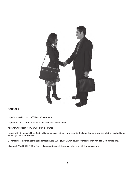

#### **SOURCES**

http://www.wikihow.com/Write-a-Cover-Letter

http://jobsearch.about.com/cs/coverletters/ht/coverletter.htm

http://en.wikipedia.org/wiki/Security\_clearance

Hansen, K., & Hansen, R. S. (2001). Dynamic cover letters: How to write the letter that gets you the job (Revised edition). Berkeley: Ten Speed Press.

Cover letter templates/samples: Microsoft Word 2007 (1996). Entry-level cover letter. McGraw-Hill Companies, Inc.

Microsoft Word 2007 (1996). New college grad cover letter, cold. McGraw-Hill Companies, Inc.